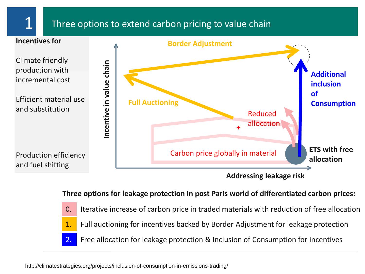### Three options to extend carbon pricing to value chain



**Three options for leakage protection in post Paris world of differentiated carbon prices:**

0. Iterative increase of carbon price in traded materials with reduction of free allocation 1. Full auctioning for incentives backed by Border Adjustment for leakage protection 2. Free allocation for leakage protection & Inclusion of Consumption for incentives

http://climatestrategies.org/projects/inclusion-of-consumption-in-emissions-trading/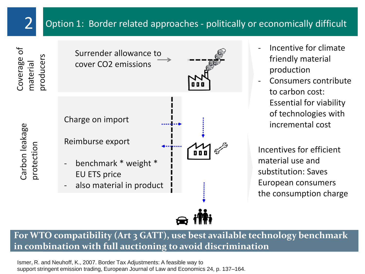## 2 Option 1: Border related approaches - politically or economically difficult

Coverage of material producers

Carbon leakage

Carbon leakage

protection



- Incentive for climate friendly material production
- Consumers contribute to carbon cost: Essential for viability of technologies with incremental cost

Incentives for efficient material use and substitution: Saves European consumers the consumption charge

**For WTO compatibility (Art 3 GATT), use best available technology benchmark in combination with full auctioning to avoid discrimination**

Ismer $_{\bar{\imath}}$ R. and Neuhoff, K., 2007. Border Tax Adjustments: A feasible way to support stringent emission trading, European Journal of Law and Economics 24, p. 137–164.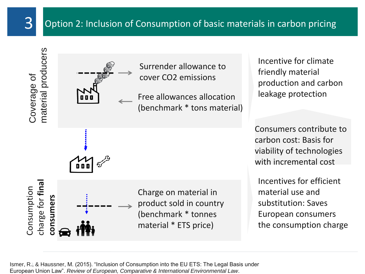## Option 2: Inclusion of Consumption of basic materials in carbon pricing

Coverage of<br>material producers



Surrender allowance to cover CO2 emissions

Free allowances allocation (benchmark \* tons material) Incentive for climate friendly material production and carbon leakage protection

Consumers contribute to carbon cost: Basis for viability of technologies with incremental cost

Incentives for efficient material use and substitution: Saves European consumers the consumption charge

charge for **final**  Consumption<br>charge for **fina** Charge on material in consumers **consumers** product sold in country (benchmark \* tonnes material \* ETS price)

Ismer, R., & Haussner, M. (2015). "Inclusion of Consumption into the EU ETS: The Legal Basis under European Union Law". *Review of European, Comparative & International Environmental Law*.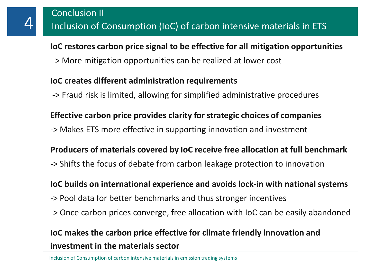**IoC restores carbon price signal to be effective for all mitigation opportunities** -> More mitigation opportunities can be realized at lower cost

#### **IoC creates different administration requirements**

-> Fraud risk is limited, allowing for simplified administrative procedures

# **Effective carbon price provides clarity for strategic choices of companies**

-> Makes ETS more effective in supporting innovation and investment

### **Producers of materials covered by IoC receive free allocation at full benchmark**

-> Shifts the focus of debate from carbon leakage protection to innovation

### **IoC builds on international experience and avoids lock-in with national systems**

- -> Pool data for better benchmarks and thus stronger incentives
- -> Once carbon prices converge, free allocation with IoC can be easily abandoned

# **IoC makes the carbon price effective for climate friendly innovation and investment in the materials sector**

Inclusion of Consumption of carbon intensive materials in emission trading systems